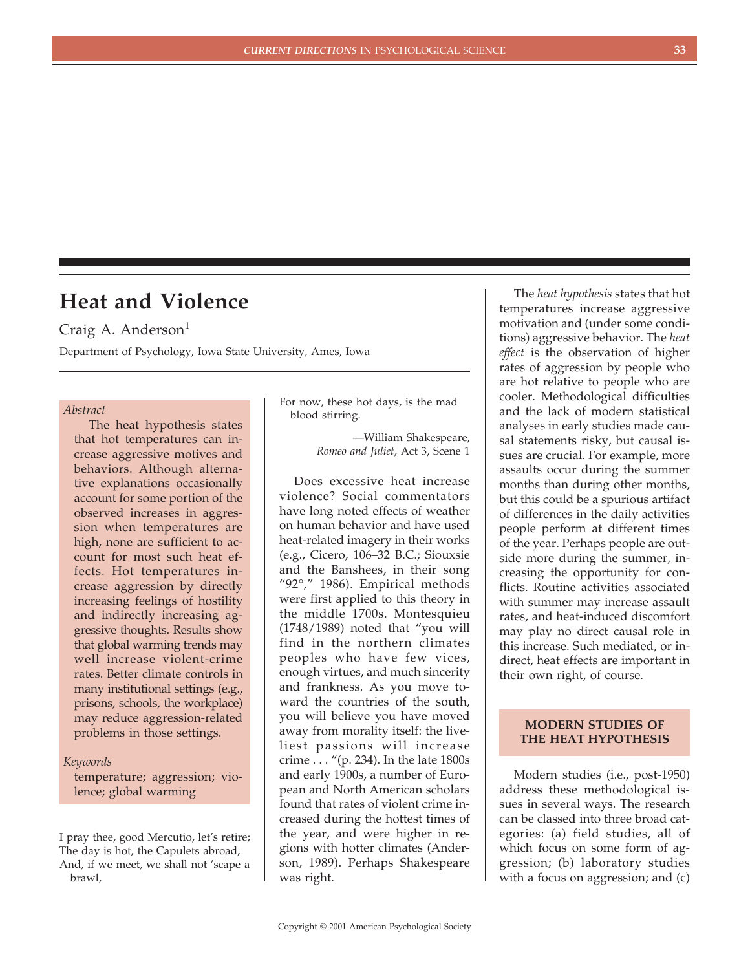# **Heat and Violence**

Craig A. Anderson $<sup>1</sup>$ </sup>

Department of Psychology, Iowa State University, Ames, Iowa

## *Abstract*

The heat hypothesis states that hot temperatures can increase aggressive motives and behaviors. Although alternative explanations occasionally account for some portion of the observed increases in aggression when temperatures are high, none are sufficient to account for most such heat effects. Hot temperatures increase aggression by directly increasing feelings of hostility and indirectly increasing aggressive thoughts. Results show that global warming trends may well increase violent-crime rates. Better climate controls in many institutional settings (e.g., prisons, schools, the workplace) may reduce aggression-related problems in those settings.

#### *Keywords*

temperature; aggression; violence; global warming

I pray thee, good Mercutio, let's retire; The day is hot, the Capulets abroad, And, if we meet, we shall not 'scape a brawl,

For now, these hot days, is the mad blood stirring.

> —William Shakespeare, *Romeo and Juliet*, Act 3, Scene 1

Does excessive heat increase violence? Social commentators have long noted effects of weather on human behavior and have used heat-related imagery in their works (e.g., Cicero, 106–32 B.C.; Siouxsie and the Banshees, in their song "92°," 1986). Empirical methods were first applied to this theory in the middle 1700s. Montesquieu (1748/1989) noted that "you will find in the northern climates peoples who have few vices, enough virtues, and much sincerity and frankness. As you move toward the countries of the south, you will believe you have moved away from morality itself: the liveliest passions will increase crime... "(p. 234). In the late 1800s and early 1900s, a number of European and North American scholars found that rates of violent crime increased during the hottest times of the year, and were higher in regions with hotter climates (Anderson, 1989). Perhaps Shakespeare was right.

The *heat hypothesis* states that hot temperatures increase aggressive motivation and (under some conditions) aggressive behavior. The *heat effect* is the observation of higher rates of aggression by people who are hot relative to people who are cooler. Methodological difficulties and the lack of modern statistical analyses in early studies made causal statements risky, but causal issues are crucial. For example, more assaults occur during the summer months than during other months, but this could be a spurious artifact of differences in the daily activities people perform at different times of the year. Perhaps people are outside more during the summer, increasing the opportunity for conflicts. Routine activities associated with summer may increase assault rates, and heat-induced discomfort may play no direct causal role in this increase. Such mediated, or indirect, heat effects are important in their own right, of course.

## **MODERN STUDIES OF THE HEAT HYPOTHESIS**

Modern studies (i.e., post-1950) address these methodological issues in several ways. The research can be classed into three broad categories: (a) field studies, all of which focus on some form of aggression; (b) laboratory studies with a focus on aggression; and (c)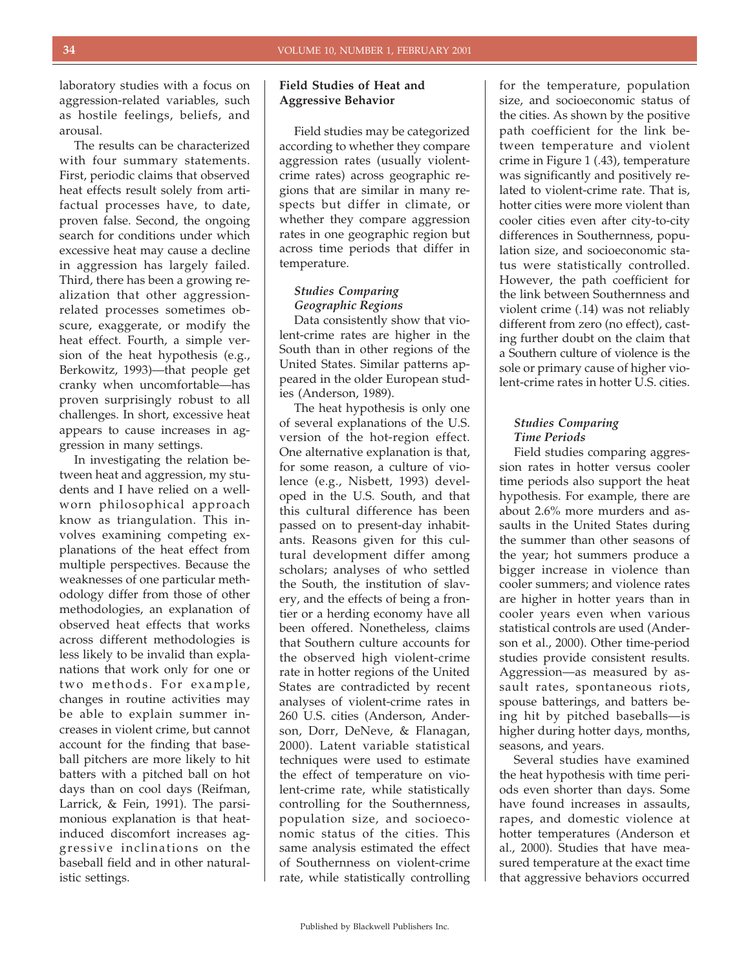laboratory studies with a focus on aggression-related variables, such as hostile feelings, beliefs, and arousal.

The results can be characterized with four summary statements. First, periodic claims that observed heat effects result solely from artifactual processes have, to date, proven false. Second, the ongoing search for conditions under which excessive heat may cause a decline in aggression has largely failed. Third, there has been a growing realization that other aggressionrelated processes sometimes obscure, exaggerate, or modify the heat effect. Fourth, a simple version of the heat hypothesis (e.g., Berkowitz, 1993)—that people get cranky when uncomfortable—has proven surprisingly robust to all challenges. In short, excessive heat appears to cause increases in aggression in many settings.

In investigating the relation between heat and aggression, my students and I have relied on a wellworn philosophical approach know as triangulation. This involves examining competing explanations of the heat effect from multiple perspectives. Because the weaknesses of one particular methodology differ from those of other methodologies, an explanation of observed heat effects that works across different methodologies is less likely to be invalid than explanations that work only for one or two methods. For example, changes in routine activities may be able to explain summer increases in violent crime, but cannot account for the finding that baseball pitchers are more likely to hit batters with a pitched ball on hot days than on cool days (Reifman, Larrick, & Fein, 1991). The parsimonious explanation is that heatinduced discomfort increases aggressive inclinations on the baseball field and in other naturalistic settings.

## **Field Studies of Heat and Aggressive Behavior**

Field studies may be categorized according to whether they compare aggression rates (usually violentcrime rates) across geographic regions that are similar in many respects but differ in climate, or whether they compare aggression rates in one geographic region but across time periods that differ in temperature.

# *Studies Comparing Geographic Regions*

Data consistently show that violent-crime rates are higher in the South than in other regions of the United States. Similar patterns appeared in the older European studies (Anderson, 1989).

The heat hypothesis is only one of several explanations of the U.S. version of the hot-region effect. One alternative explanation is that, for some reason, a culture of violence (e.g., Nisbett, 1993) developed in the U.S. South, and that this cultural difference has been passed on to present-day inhabitants. Reasons given for this cultural development differ among scholars; analyses of who settled the South, the institution of slavery, and the effects of being a frontier or a herding economy have all been offered. Nonetheless, claims that Southern culture accounts for the observed high violent-crime rate in hotter regions of the United States are contradicted by recent analyses of violent-crime rates in 260 U.S. cities (Anderson, Anderson, Dorr, DeNeve, & Flanagan, 2000). Latent variable statistical techniques were used to estimate the effect of temperature on violent-crime rate, while statistically controlling for the Southernness, population size, and socioeconomic status of the cities. This same analysis estimated the effect of Southernness on violent-crime rate, while statistically controlling

for the temperature, population size, and socioeconomic status of the cities. As shown by the positive path coefficient for the link between temperature and violent crime in Figure 1 (.43), temperature was significantly and positively related to violent-crime rate. That is, hotter cities were more violent than cooler cities even after city-to-city differences in Southernness, population size, and socioeconomic status were statistically controlled. However, the path coefficient for the link between Southernness and violent crime (.14) was not reliably different from zero (no effect), casting further doubt on the claim that a Southern culture of violence is the sole or primary cause of higher violent-crime rates in hotter U.S. cities.

# *Studies Comparing Time Periods*

Field studies comparing aggression rates in hotter versus cooler time periods also support the heat hypothesis. For example, there are about 2.6% more murders and assaults in the United States during the summer than other seasons of the year; hot summers produce a bigger increase in violence than cooler summers; and violence rates are higher in hotter years than in cooler years even when various statistical controls are used (Anderson et al., 2000). Other time-period studies provide consistent results. Aggression—as measured by assault rates, spontaneous riots, spouse batterings, and batters being hit by pitched baseballs—is higher during hotter days, months, seasons, and years.

Several studies have examined the heat hypothesis with time periods even shorter than days. Some have found increases in assaults, rapes, and domestic violence at hotter temperatures (Anderson et al., 2000). Studies that have measured temperature at the exact time that aggressive behaviors occurred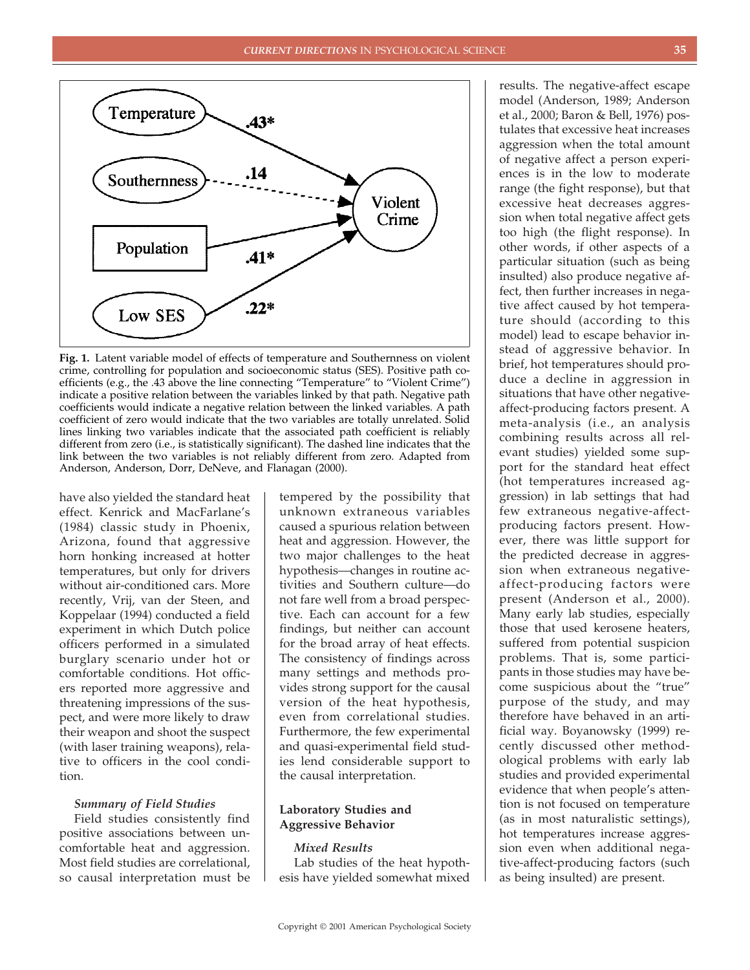

**Fig. 1.** Latent variable model of effects of temperature and Southernness on violent crime, controlling for population and socioeconomic status (SES). Positive path coefficients (e.g., the .43 above the line connecting "Temperature" to "Violent Crime") indicate a positive relation between the variables linked by that path. Negative path coefficients would indicate a negative relation between the linked variables. A path coefficient of zero would indicate that the two variables are totally unrelated. Solid lines linking two variables indicate that the associated path coefficient is reliably different from zero (i.e., is statistically significant). The dashed line indicates that the link between the two variables is not reliably different from zero. Adapted from Anderson, Anderson, Dorr, DeNeve, and Flanagan (2000).

have also yielded the standard heat effect. Kenrick and MacFarlane's (1984) classic study in Phoenix, Arizona, found that aggressive horn honking increased at hotter temperatures, but only for drivers without air-conditioned cars. More recently, Vrij, van der Steen, and Koppelaar (1994) conducted a field experiment in which Dutch police officers performed in a simulated burglary scenario under hot or comfortable conditions. Hot officers reported more aggressive and threatening impressions of the suspect, and were more likely to draw their weapon and shoot the suspect (with laser training weapons), relative to officers in the cool condition.

#### *Summary of Field Studies*

Field studies consistently find positive associations between uncomfortable heat and aggression. Most field studies are correlational, so causal interpretation must be

tempered by the possibility that unknown extraneous variables caused a spurious relation between heat and aggression. However, the two major challenges to the heat hypothesis—changes in routine activities and Southern culture—do not fare well from a broad perspective. Each can account for a few findings, but neither can account for the broad array of heat effects. The consistency of findings across many settings and methods provides strong support for the causal version of the heat hypothesis, even from correlational studies. Furthermore, the few experimental and quasi-experimental field studies lend considerable support to the causal interpretation.

## **Laboratory Studies and Aggressive Behavior**

#### *Mixed Results*

Lab studies of the heat hypothesis have yielded somewhat mixed

results. The negative-affect escape model (Anderson, 1989; Anderson et al., 2000; Baron & Bell, 1976) postulates that excessive heat increases aggression when the total amount of negative affect a person experiences is in the low to moderate range (the fight response), but that excessive heat decreases aggression when total negative affect gets too high (the flight response). In other words, if other aspects of a particular situation (such as being insulted) also produce negative affect, then further increases in negative affect caused by hot temperature should (according to this model) lead to escape behavior instead of aggressive behavior. In brief, hot temperatures should produce a decline in aggression in situations that have other negativeaffect-producing factors present. A meta-analysis (i.e., an analysis combining results across all relevant studies) yielded some support for the standard heat effect (hot temperatures increased aggression) in lab settings that had few extraneous negative-affectproducing factors present. However, there was little support for the predicted decrease in aggression when extraneous negativeaffect-producing factors were present (Anderson et al., 2000). Many early lab studies, especially those that used kerosene heaters, suffered from potential suspicion problems. That is, some participants in those studies may have become suspicious about the "true" purpose of the study, and may therefore have behaved in an artificial way. Boyanowsky (1999) recently discussed other methodological problems with early lab studies and provided experimental evidence that when people's attention is not focused on temperature (as in most naturalistic settings), hot temperatures increase aggression even when additional negative-affect-producing factors (such as being insulted) are present.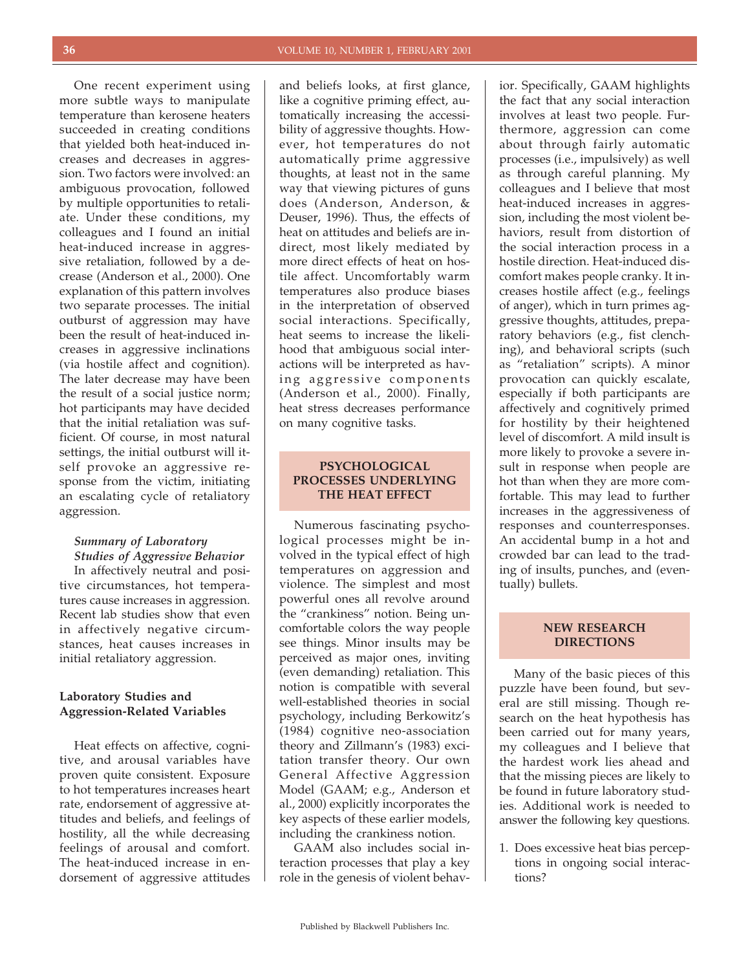One recent experiment using more subtle ways to manipulate temperature than kerosene heaters succeeded in creating conditions that yielded both heat-induced increases and decreases in aggression. Two factors were involved: an ambiguous provocation, followed by multiple opportunities to retaliate. Under these conditions, my colleagues and I found an initial heat-induced increase in aggressive retaliation, followed by a decrease (Anderson et al., 2000). One explanation of this pattern involves two separate processes. The initial outburst of aggression may have been the result of heat-induced increases in aggressive inclinations (via hostile affect and cognition). The later decrease may have been the result of a social justice norm; hot participants may have decided that the initial retaliation was sufficient. Of course, in most natural settings, the initial outburst will itself provoke an aggressive response from the victim, initiating an escalating cycle of retaliatory aggression.

## *Summary of Laboratory Studies of Aggressive Behavior*

In affectively neutral and positive circumstances, hot temperatures cause increases in aggression. Recent lab studies show that even in affectively negative circumstances, heat causes increases in initial retaliatory aggression.

## **Laboratory Studies and Aggression-Related Variables**

Heat effects on affective, cognitive, and arousal variables have proven quite consistent. Exposure to hot temperatures increases heart rate, endorsement of aggressive attitudes and beliefs, and feelings of hostility, all the while decreasing feelings of arousal and comfort. The heat-induced increase in endorsement of aggressive attitudes

and beliefs looks, at first glance, like a cognitive priming effect, automatically increasing the accessibility of aggressive thoughts. However, hot temperatures do not automatically prime aggressive thoughts, at least not in the same way that viewing pictures of guns does (Anderson, Anderson, & Deuser, 1996). Thus, the effects of heat on attitudes and beliefs are indirect, most likely mediated by more direct effects of heat on hostile affect. Uncomfortably warm temperatures also produce biases in the interpretation of observed social interactions. Specifically, heat seems to increase the likelihood that ambiguous social interactions will be interpreted as having aggressive components (Anderson et al., 2000). Finally, heat stress decreases performance on many cognitive tasks.

## **PSYCHOLOGICAL PROCESSES UNDERLYING THE HEAT EFFECT**

Numerous fascinating psychological processes might be involved in the typical effect of high temperatures on aggression and violence. The simplest and most powerful ones all revolve around the "crankiness" notion. Being uncomfortable colors the way people see things. Minor insults may be perceived as major ones, inviting (even demanding) retaliation. This notion is compatible with several well-established theories in social psychology, including Berkowitz's (1984) cognitive neo-association theory and Zillmann's (1983) excitation transfer theory. Our own General Affective Aggression Model (GAAM; e.g., Anderson et al., 2000) explicitly incorporates the key aspects of these earlier models, including the crankiness notion.

GAAM also includes social interaction processes that play a key role in the genesis of violent behavior. Specifically, GAAM highlights the fact that any social interaction involves at least two people. Furthermore, aggression can come about through fairly automatic processes (i.e., impulsively) as well as through careful planning. My colleagues and I believe that most heat-induced increases in aggression, including the most violent behaviors, result from distortion of the social interaction process in a hostile direction. Heat-induced discomfort makes people cranky. It increases hostile affect (e.g., feelings of anger), which in turn primes aggressive thoughts, attitudes, preparatory behaviors (e.g., fist clenching), and behavioral scripts (such as "retaliation" scripts). A minor provocation can quickly escalate, especially if both participants are affectively and cognitively primed for hostility by their heightened level of discomfort. A mild insult is more likely to provoke a severe insult in response when people are hot than when they are more comfortable. This may lead to further increases in the aggressiveness of responses and counterresponses. An accidental bump in a hot and crowded bar can lead to the trading of insults, punches, and (eventually) bullets.

## **NEW RESEARCH DIRECTIONS**

Many of the basic pieces of this puzzle have been found, but several are still missing. Though research on the heat hypothesis has been carried out for many years, my colleagues and I believe that the hardest work lies ahead and that the missing pieces are likely to be found in future laboratory studies. Additional work is needed to answer the following key questions.

1. Does excessive heat bias perceptions in ongoing social interactions?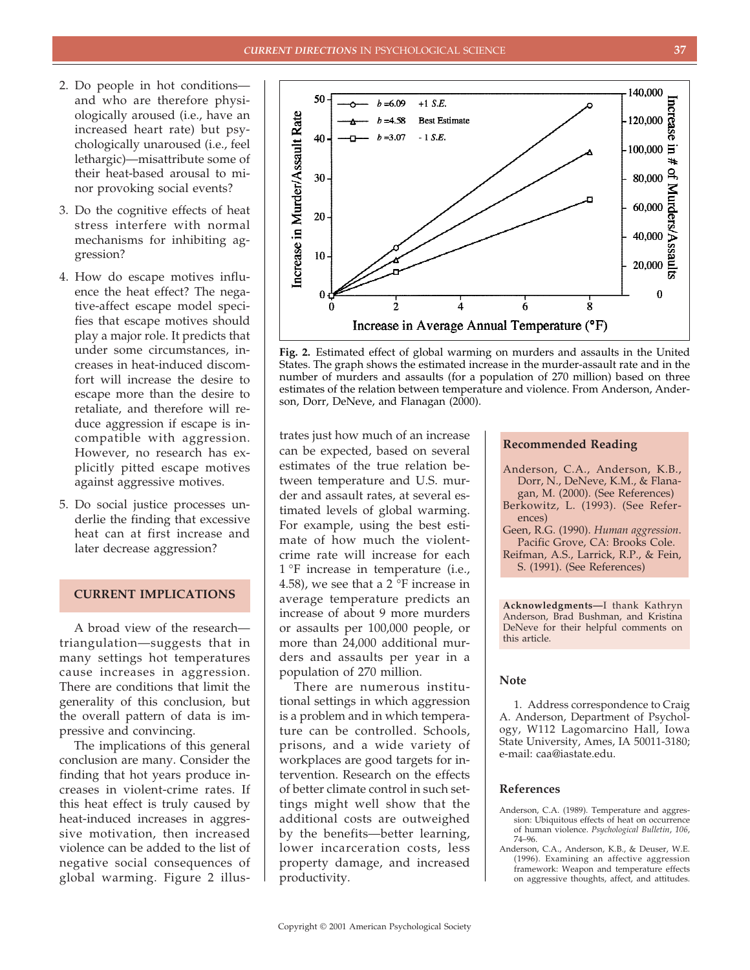- 2. Do people in hot conditions and who are therefore physiologically aroused (i.e., have an increased heart rate) but psychologically unaroused (i.e., feel lethargic)—misattribute some of their heat-based arousal to minor provoking social events?
- 3. Do the cognitive effects of heat stress interfere with normal mechanisms for inhibiting aggression?
- 4. How do escape motives influence the heat effect? The negative-affect escape model specifies that escape motives should play a major role. It predicts that under some circumstances, increases in heat-induced discomfort will increase the desire to escape more than the desire to retaliate, and therefore will reduce aggression if escape is incompatible with aggression. However, no research has explicitly pitted escape motives against aggressive motives.
- 5. Do social justice processes underlie the finding that excessive heat can at first increase and later decrease aggression?

## **CURRENT IMPLICATIONS**

A broad view of the research triangulation—suggests that in many settings hot temperatures cause increases in aggression. There are conditions that limit the generality of this conclusion, but the overall pattern of data is impressive and convincing.

The implications of this general conclusion are many. Consider the finding that hot years produce increases in violent-crime rates. If this heat effect is truly caused by heat-induced increases in aggressive motivation, then increased violence can be added to the list of negative social consequences of global warming. Figure 2 illus-



**Fig. 2.** Estimated effect of global warming on murders and assaults in the United States. The graph shows the estimated increase in the murder-assault rate and in the number of murders and assaults (for a population of 270 million) based on three estimates of the relation between temperature and violence. From Anderson, Anderson, Dorr, DeNeve, and Flanagan (2000).

trates just how much of an increase can be expected, based on several estimates of the true relation between temperature and U.S. murder and assault rates, at several estimated levels of global warming. For example, using the best estimate of how much the violentcrime rate will increase for each 1 °F increase in temperature (i.e., 4.58), we see that a 2 °F increase in average temperature predicts an increase of about 9 more murders or assaults per 100,000 people, or more than 24,000 additional murders and assaults per year in a population of 270 million.

There are numerous institutional settings in which aggression is a problem and in which temperature can be controlled. Schools, prisons, and a wide variety of workplaces are good targets for intervention. Research on the effects of better climate control in such settings might well show that the additional costs are outweighed by the benefits—better learning, lower incarceration costs, less property damage, and increased productivity.

## **Recommended Reading**

- Anderson, C.A., Anderson, K.B., Dorr, N., DeNeve, K.M., & Flanagan, M. (2000). (See References) Berkowitz, L. (1993). (See Refer-
- ences) Geen, R.G. (1990). *Human aggression*.
- Pacific Grove, CA: Brooks Cole. Reifman, A.S., Larrick, R.P., & Fein,

S. (1991). (See References)

**Acknowledgments—**I thank Kathryn Anderson, Brad Bushman, and Kristina DeNeve for their helpful comments on this article.

## **Note**

1. Address correspondence to Craig A. Anderson, Department of Psychology, W112 Lagomarcino Hall, Iowa State University, Ames, IA 50011-3180; e-mail: caa@iastate.edu.

#### **References**

- Anderson, C.A. (1989). Temperature and aggression: Ubiquitous effects of heat on occurrence of human violence. *Psychological Bulletin*, *106*, 74–96.
- Anderson, C.A., Anderson, K.B., & Deuser, W.E. (1996). Examining an affective aggression framework: Weapon and temperature effects on aggressive thoughts, affect, and attitudes.